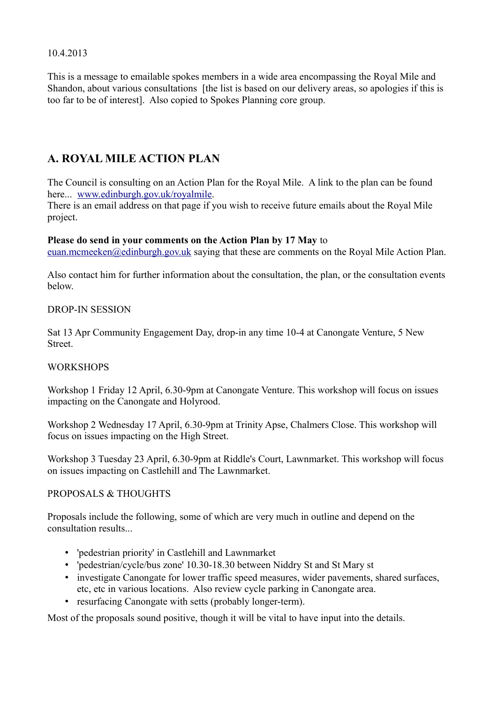10.4.2013

This is a message to emailable spokes members in a wide area encompassing the Royal Mile and Shandon, about various consultations [the list is based on our delivery areas, so apologies if this is too far to be of interest]. Also copied to Spokes Planning core group.

# **A. ROYAL MILE ACTION PLAN**

The Council is consulting on an Action Plan for the Royal Mile. A link to the plan can be found here... [www.edinburgh.gov.uk/royalmile.](http://www.edinburgh.gov.uk/royalmile)

There is an email address on that page if you wish to receive future emails about the Royal Mile project.

#### **Please do send in your comments on the Action Plan by 17 May** to

[euan.mcmeeken@edinburgh.gov.uk](mailto:euan.mcmeeken@edinburgh.gov.uk) saying that these are comments on the Royal Mile Action Plan.

Also contact him for further information about the consultation, the plan, or the consultation events below.

### DROP-IN SESSION

Sat 13 Apr Community Engagement Day, drop-in any time 10-4 at Canongate Venture, 5 New **Street**.

### WORKSHOPS

Workshop 1 Friday 12 April, 6.30-9pm at Canongate Venture. This workshop will focus on issues impacting on the Canongate and Holyrood.

Workshop 2 Wednesday 17 April, 6.30-9pm at Trinity Apse, Chalmers Close. This workshop will focus on issues impacting on the High Street.

Workshop 3 Tuesday 23 April, 6.30-9pm at Riddle's Court, Lawnmarket. This workshop will focus on issues impacting on Castlehill and The Lawnmarket.

### PROPOSALS & THOUGHTS

Proposals include the following, some of which are very much in outline and depend on the consultation results...

- 'pedestrian priority' in Castlehill and Lawnmarket
- 'pedestrian/cycle/bus zone' 10.30-18.30 between Niddry St and St Mary st
- investigate Canongate for lower traffic speed measures, wider pavements, shared surfaces, etc, etc in various locations. Also review cycle parking in Canongate area.
- resurfacing Canongate with setts (probably longer-term).

Most of the proposals sound positive, though it will be vital to have input into the details.